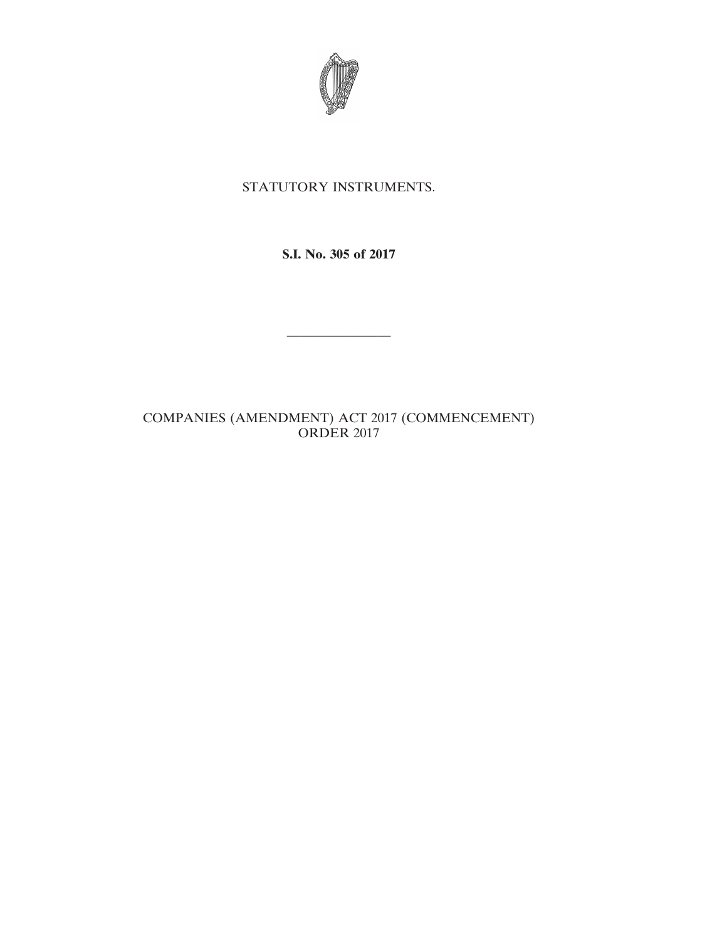

## STATUTORY INSTRUMENTS.

**S.I. No. 305 of 2017**

————————

## COMPANIES (AMENDMENT) ACT 2017 (COMMENCEMENT) ORDER 2017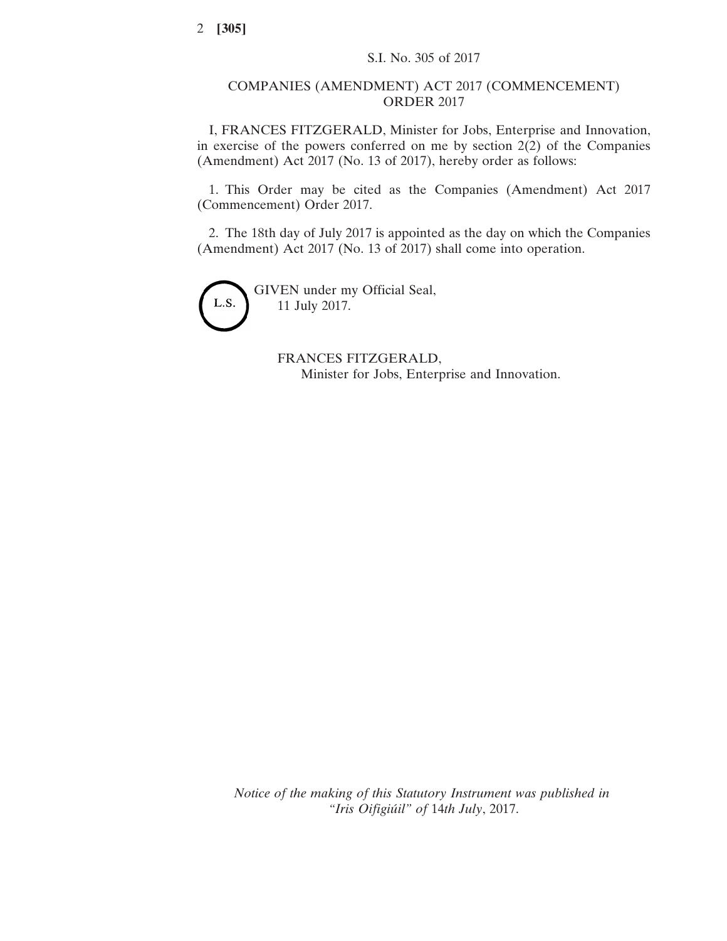## COMPANIES (AMENDMENT) ACT 2017 (COMMENCEMENT) ORDER 2017

I, FRANCES FITZGERALD, Minister for Jobs, Enterprise and Innovation, in exercise of the powers conferred on me by section  $2(2)$  of the Companies (Amendment) Act 2017 (No. 13 of 2017), hereby order as follows:

1. This Order may be cited as the Companies (Amendment) Act 2017 (Commencement) Order 2017.

2. The 18th day of July 2017 is appointed as the day on which the Companies (Amendment) Act 2017 (No. 13 of 2017) shall come into operation.



GIVEN under my Official Seal, 11 July 2017.

> FRANCES FITZGERALD, Minister for Jobs, Enterprise and Innovation.

*Notice of the making of this Statutory Instrument was published in "Iris Oifigiúil" of* 14*th July*, 2017.